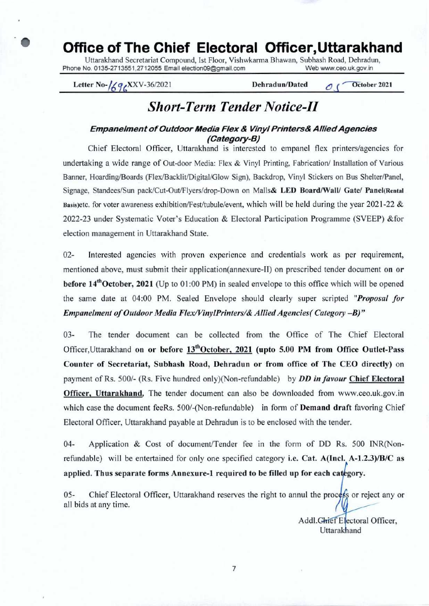# **Office of The Chief Electoral Officer,Uttarakhand**

Uttarakhand Secretariat Compound, Ist Floor, Vishwkarma Bhawan, Subhash Road, Dehradun,<br>No. 0135-2713551.2712055 Email election09@gmail.com Web www.ceo.uk.gov.in Phone No. 0135-2713551,2712055 Email election09@gmail.com

Letter No- $\frac{1}{4}$   $\frac{1}{5}$  XXV-36/2021 **Dehradun/Dated**  $\frac{1}{5}$   $\frac{1}{5}$  October 2021

# *Short-Term Tender Notice-Il*

#### **Empanelment of Outdoor Media Flex & Vinyl Printers& Allied Agencies (Category-B)**

Chief Electoral Officer, Uttarakhand is interested to empanel flex printers/agencies for undertaking a wide range of Out-door Media: Flex & Vinyl Printing, Fabrication/ Installation of Various Banner, Hoarding/Boards (Flex/Backlit/Digital/Glow Sign), Backdrop, Vinyl Stickers on Bus Shelter/Panel, Signage, Standees/Sun pack/Cut-Out/Flyers/drop-Down on Malls& LED Board/Wall/ Gate/ Panel(Rental Basis)etc. for voter awareness exhibition/Fest/tubule/event, which will be held during the year 2021-22  $&$ 2022-23 under Systematic Voter's Education & Electoral Participation Programme (SVEEP) &for election management in Uttarakhand State.

2- Interested agencies with proven experience and credentials work as per requirement, mentioned above, must submit their application(annexure-II) on prescribed tender document **on or before 14t'October,** 2021 (Up to 01:00 PM) in sealed envelope to this office which will be opened the same date at 04:00 PM. Sealed Envelope should clearly super scripted *"Proposal for Empanelment of Outdoor Media Flex/VinylPrinters/& Allied Agencies( Category -B)"* 

3- The tender document can be collected from the Office of The Chief Electoral Officer, Uttarakhand on or before 13<sup>th</sup>October, 2021 (upto 5.00 PM from Office Outlet-Pass **Counter of Secretariat, Subhash Road, Dehradun or from office of The CEO directly) on**  payment of Rs. 500/- (Rs. Five hundred only)(Non-refundable) by *DD in favour* **Chief Electoral Officer, Uttarakhand,** The tender document can also be downloaded from www.ceo.uk.gov.in which case the document feeRs. 500/-(Non-refundable) in form of **Demand** draft favoring Chief Electoral Officer, Uttarakhand payable at Dehradun is to be enclosed with the tender.

4- Application & Cost of document/Tender fee in the form of DD Rs. 500 INR(Nonrefundable) will be entertained for only one specified category **i.e. Cat. A(Incl. A-1.2.3)/B/C as applied. Thus separate forms Annexure-1 required to be filled up for each category.** 

05- Chief Electoral Officer, Uttarakhand reserves the right to annul the process or reject any or all bids at any time.

> Addl. Chief Electoral Officer, Uttarakhand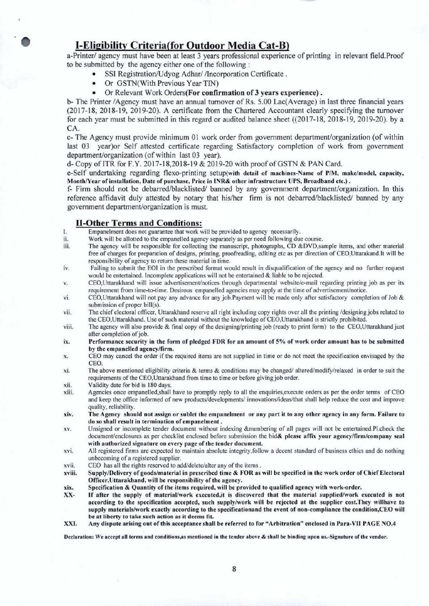## **• I-Eligibility Criteria(for Outdoor Media Cat-B)**

a-Printer/ agency must have been at least 3 years professional experience of printing in relevant field.Proof to be submitted by the agency either one of the following

- SSI Registration/Udyog Adhar/ /Incorporation Certificate.
- Or GSTN(With Previous Year TIN)
- Or Relevant Work Orders(For **confirmation of 3 years experience).**

b- The Printer /Agency must have an annual turnover of Rs. 5.00 Lac(Average) in last three financial years (2017-18, 2018-19, 2019-20). A certificate from the Chartered Accountant clearly specifying the turnover for each year must be submitted in this regard or audited balance sheet ((2017-18, 2018-19, 2019-20). by a CA.

c- The Agency must provide minimum 01 work order from government department/organization (of within last 03 year)or Self attested certificate regarding Satisfactory completion of work from government department/organization (of within last 03 year).

d- Copy of ITR for F.Y. 2017-18,2018-19 & 2019-20 with proof of GSTN & PAN Card.

e-Self undertaking regarding flexo-printing setup(with detail of machines-Name of *PIM,* make/model, capacity, Month/Year of installation, Date of purchase, Price in **INR&** other infrastructure UPS, Broadband etc.).

f- Firm should not be debarred/blacklisted/ banned by any government department/organization. In this reference affidavit duly attested by notary that his/her firm is not debarred/blacklisted/ banned by any government department/organization is must.

#### **lI-Other Terms and Conditions:**

- I. Empanelment does not guarantee that work will be provided to agency necessarily.
- ii. Work will be allotted to the empanelled agency separately as per need following due course.<br>iii. The agency will be responsible for collecting the manuscript, photographs, CD &DVD,sa
- The agency will be responsible for collecting the manuscript, photographs, CD &DVD,sample items, and other material free of charges for preparation of designs, printing, proofreading, editing etc as per direction of CEO,Uttarakand.It will be responsibility of agency to return these material in time.
- iv. Failing to submit the EOl in the prescribed format would result in disqualification of the agency and no further request would be entertained. Incomplete applications will not be entertained & liable to be rejected.
- v. CEO,Uttarakhand will issue advertisement/notices through departmental websitele-mail regarding printing job as per its requirement from time-to-time. Desirous empanelled agencies may apply at the time of advertisement/notice.
- vi. CEO,Uttarakhand will not pay any advance for any job,Payment will be made only after satisfactory completion of Job & submission of proper bill(s).
- vii. The chief electoral officer, Uttarakhand reserve all right including copy rights over all the printing /designing jobs related to the CEO,Uttarakhand. Use of such material without the knowledge of CEO,Uttarakhand is strictly prohibited.
- viii. The agency will also provide & final copy of the designing/printing job (ready to print form) to the CEO,Uttarakhand just after completion of job.
- ix. Performance security in the form of pledged FDR for an amount of 5% of work order amount has to be submitted by the empanelled agency/firm.
- x. CEO may cancel the order if the required items are not supplied in time or do not meet the specification envisaged by the CEO.
- xi. The above mentioned eligibility criteria & terms & conditions may be changed/altered/modify/relaxed in order to suit the requirements of the CEO,Uttarakhand from time to time or before giving job order.
- xii. Validity date for bid is 180 days.
- xiii. Agencies once empanelled,shall have to promptly reply to all the enquiries,execute orders as per the order terms of CEO and keep the office informed of new products/developments/ innovations/ideas/that shall help reduce the cost and improve quality, reliability.
- xiv. The Agency should not assign or sublet the empanelment or any part it to any other agency in any form. Failure to do so shall result in termination of empanelment.
- xv. Unsigned or incomplete tender document without indexing &numbering of all pages will not be entertained.Pl.check the document/enclosures as per checklist enclosed before submission the bid& please affix your agency/firm/company seal with authorized signature on every page of the tender document.
- xvi. All registered firms are expected to maintain absolute integrity.follow a decent standard of business ethics and do nothing unbecoming of a registered supplier.
- xvii. CEO has all the rights reserved to add/delete/alter any of the items.
- xviii. Supply/Delivery of goods/material in prescribed time & FOR as will be specified in the work order of Chief Electoral Officer,Uttarakhand, will be responsibility of the agency.
- xix. Specification & Quantity of the items required, will be provided to qualified agency with work-order.
- XX- If after the supply of material/work executed,it is discovered that the material supplied/work executed is not according to the specification accepted, such supply/work will be rejected at the supplier cost.They willhave to supply materials/work exactly according to the specificationand the event of non-compliance the condition,CEO will be at liberty to take such action as it deems fit.
- XXI. Any dispute arising out of this acceptance shall be referred to for "Arbitration" **enclosed in Para-VII PAGE NO.4**

Declaration: We accept all terms and conditions,as mentioned in the tender above & shall be binding upon us.-Signature of the vendor.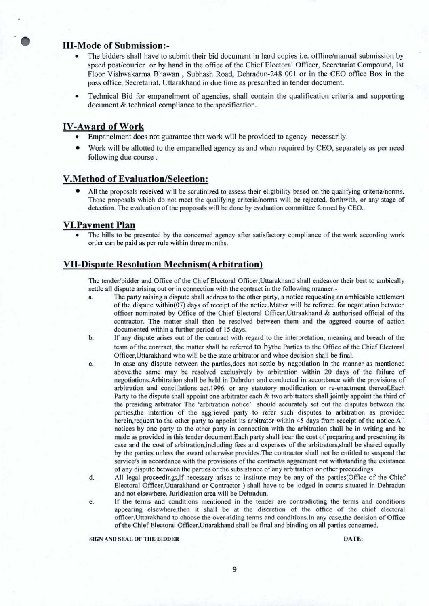#### **111-Mode of Submission:-**

- The bidders shall have to submit their bid document in hard copies i.e. offline/manual submission by speed post/courier or by hand in the office of the Chief Electoral Officer, Secretariat Compound, Ist Floor Vishwakarma Bhawan , Subhash Road, Dehradun-248 001 or in the CEO office Box in the pass office, Secretariat, Uttarakhand in due time as prescribed in tender document.
- Technical Bid for empanelment of agencies, shall contain the qualification criteria and supporting document & technical compliance to the specification.

#### **IV-Award of Work**

- Empanelment does not guarantee that work will be provided to agency necessarily.
- Work will be allotted to the empanelled agency as and when required by CEO, separately as per need following due course.

#### **V.Method of Evaluation/Selection:**

• All the proposals received will be scrutinized to assess their eligibility based on the qualifying criteria/norms. Those proposals which do not meet the qualifying criteria/norms will be rejected, forthwith, or any stage of detection. The evaluation of the proposals will be done by evaluation committee formed by CEO..

#### **VI.Payment Plan**

The bills to be presented by the concerned agency after satisfactory compliance of the work according work order can be paid as per rule within three months.

#### **Vu-Dispute Resolution Mechnism(Arbitration)**

The tender/bidder and Office of the Chief Electoral Officer,Uttarakhand shall endeavor their best to ambically settle all dispute arising out or in connection with the contract in the following manner:-

- a. The party raising a dispute shall address to the other party, a notice requesting an ambicable settlement of the dispute within(07) days of receipt of the notice.Matter will be referred for negotiation between officer nominated by Office of the Chief Electoral Officer,Uttraakhand & authorised official of the contractor. The matter shall then be resolved between them and the aggreed course of action documented within a further period of 15 days.
- b. If any dispute arises out of the contract with regard to the interpretation, meaning and breach of the team of the contract, the matter shall be referred to bythe Parties to the Office of the Chief Electoral Officer,Uttarakhand who will be the state arbitrator and whoe decision shall be final.
- c. In case any dispute between the parties,does not settle by negotiation in the manner as mentioned above,the same may be resolved exclusively by arbitration within 20 days of the failure of negotiations.Arbitration shall be held in Dehrdun and conducted in accordance with the provisions of arbitration and conciliations act.1996. or any statutory modification or re-enactment thereof.Each Party to the dispute shall appoint one arbitrator each & two arbitrators shall jointly appoint the third of the presiding arbitrator The 'arbitration notice' should accurately set out the disputes between the parties,the intention of the aggrieved party to refer such disputes to arbitration as provided herein, request to the other party to appoint its arbitrator within 45 days from receipt of the notice.All notices by one party to the other party in connection with the arbitration shall be in writing and be made as provided in this tender document.Each party shall bear the cost of preparing and presenting its case and the cost of arbitration,including fees and expenses of the arbitrators,shall be shared equally by the parties unless the award otherwise provides.The contractor shall not be entitled to suspend the service/s in accordance with the provisions of the contract/s aggrement not withstanding the existance of any dispute between the parties or the subsistance of any arbitration or other proceedings.
- d. All legal proceedings,if necessary arises to institute may be any of the parties(Office of the Chief Electoral Officer,Uttarakhand or Contractor ) shall have to be lodged in courts situated in Dehradun and not elsewhere. Juridication area will be Dehradun.
- e. If the terms and conditions mentioned in the tender are contradicting the terms and conditions appearing elsewhere,then it shall be at the discretion of the office of the chief electoral officer,Uttarakhand to choose the over-riding terms and conditions.ln any case,the decision of Office of the Chief Electoral Officer,Uttarakhand shall be final and binding on all parties concerned.

#### SIGN AND SEAL OF THE BIDDER DATE: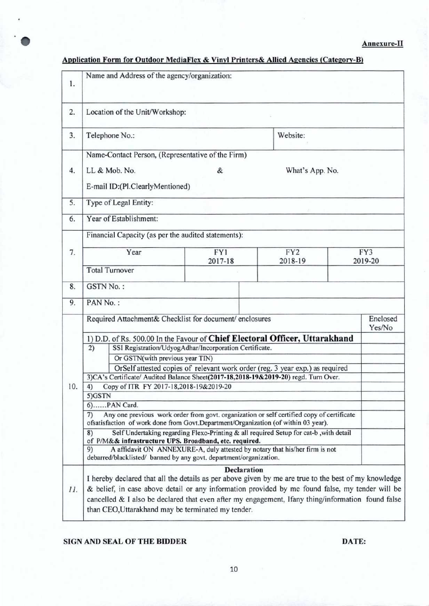### **Annexure-Il**

## **Application Form for Outdoor MediaFlex & Vinyl Printers& Allied Agencies (Category-B)**

| 1.  | Name and Address of the agency/organization:                                                                                                                                                                                                                                                                 |                      |                            |                |                    |
|-----|--------------------------------------------------------------------------------------------------------------------------------------------------------------------------------------------------------------------------------------------------------------------------------------------------------------|----------------------|----------------------------|----------------|--------------------|
| 2.  | Location of the Unit/Workshop:                                                                                                                                                                                                                                                                               |                      |                            |                |                    |
| 3.  | Website:<br>Telephone No.:                                                                                                                                                                                                                                                                                   |                      |                            |                |                    |
|     | Name-Contact Person, (Representative of the Firm)                                                                                                                                                                                                                                                            |                      |                            |                |                    |
| 4.  | LL & Mob. No.<br>E-mail ID:(Pl.ClearlyMentioned)                                                                                                                                                                                                                                                             | &<br>What's App. No. |                            |                |                    |
| 5.  | Type of Legal Entity:                                                                                                                                                                                                                                                                                        |                      |                            |                |                    |
| 6.  | Year of Establishment:                                                                                                                                                                                                                                                                                       |                      |                            |                |                    |
|     | Financial Capacity (as per the audited statements):                                                                                                                                                                                                                                                          |                      |                            |                |                    |
| 7.  | Year                                                                                                                                                                                                                                                                                                         | FY1<br>2017-18       | FY <sub>2</sub><br>2018-19 | FY3<br>2019-20 |                    |
|     | <b>Total Turnover</b>                                                                                                                                                                                                                                                                                        |                      |                            |                |                    |
| 8.  | <b>GSTN No.:</b>                                                                                                                                                                                                                                                                                             |                      |                            |                |                    |
| 9.  | PAN No.:                                                                                                                                                                                                                                                                                                     |                      |                            |                |                    |
| 10. | Required Attachment& Checklist for document/ enclosures                                                                                                                                                                                                                                                      |                      |                            |                | Enclosed<br>Yes/No |
|     | 1) D.D. of Rs. 500.00 In the Favour of Chief Electoral Officer, Uttarakhand                                                                                                                                                                                                                                  |                      |                            |                |                    |
|     | 2)<br>SSI Registration/UdyogAdhar/Incorporation Certificate.                                                                                                                                                                                                                                                 |                      |                            |                |                    |
|     | Or GSTN(with previous year TIN)                                                                                                                                                                                                                                                                              |                      |                            |                |                    |
|     | OrSelf attested copies of relevant work order (reg. 3 year exp.) as required<br>3) CA's Certificate/ Audited Balance Sheet(2017-18,2018-19&2019-20) regd. Turn Over.                                                                                                                                         |                      |                            |                |                    |
|     | Copy of ITR FY 2017-18,2018-19&2019-20<br>4)                                                                                                                                                                                                                                                                 |                      |                            |                |                    |
|     | 5)GSTN                                                                                                                                                                                                                                                                                                       |                      |                            |                |                    |
|     | 6)PAN Card.                                                                                                                                                                                                                                                                                                  |                      |                            |                |                    |
|     | Any one previous work order from govt. organization or self certified copy of certificate<br>7)<br>ofsatisfaction of work done from Govt.Department/Organization (of within 03 year).                                                                                                                        |                      |                            |                |                    |
|     | Self Undertaking regarding Flexo-Printing & all required Setup for cat-b, with detail<br>8)<br>of P/M&& infrastructure UPS. Broadband, etc. required.                                                                                                                                                        |                      |                            |                |                    |
|     | A affidavit ON ANNEXURE-A, duly attested by notary that his/her firm is not<br>9)<br>debarred/blacklisted/ banned by any govt. department/organization.                                                                                                                                                      |                      |                            |                |                    |
|     | <b>Declaration</b>                                                                                                                                                                                                                                                                                           |                      |                            |                |                    |
| 11. | I hereby declared that all the details as per above given by me are true to the best of my knowledge<br>& belief, in case above detail or any information provided by me found false, my tender will be<br>cancelled & I also be declared that even after my engagement, Ifany thing/information found false |                      |                            |                |                    |
|     | than CEO, Uttarakhand may be terminated my tender.                                                                                                                                                                                                                                                           |                      |                            |                |                    |

#### **SIGN AND SEAL OF THE BIDDER DATE:**

I